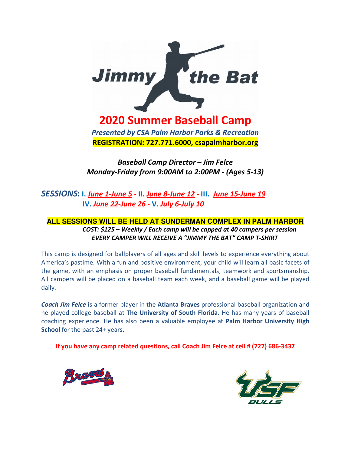

**2020 Summer Baseball Camp**

*Presented by CSA Palm Harbor Parks & Recreation* **REGISTRATION: 727.771.6000, csapalmharbor.org** 

*Baseball Camp Director – Jim Felce Monday-Friday from 9:00AM to 2:00PM - (Ages 5-13)*

*SESSIONS***: I.** *June 1-June 5* - **II.** *June 8-June 12* **- III.** *June 15-June 19* **IV.** *June 22-June 26* **- V.** *July 6-July 10*

## **ALL SESSIONS WILL BE HELD AT SUNDERMAN COMPLEX IN PALM HARBOR**  *COST: \$125 – Weekly / Each camp will be capped at 40 campers per session EVERY CAMPER WILL RECEIVE A "JIMMY THE BAT" CAMP T-SHIRT*

This camp is designed for ballplayers of all ages and skill levels to experience everything about America's pastime. With a fun and positive environment, your child will learn all basic facets of the game, with an emphasis on proper baseball fundamentals, teamwork and sportsmanship. All campers will be placed on a baseball team each week, and a baseball game will be played daily.

*Coach Jim Felce* is a former player in the **Atlanta Braves** professional baseball organization and he played college baseball at **The University of South Florida**. He has many years of baseball coaching experience. He has also been a valuable employee at **Palm Harbor University High School** for the past 24+ years.

**If you have any camp related questions, call Coach Jim Felce at cell # (727) 686-3437**